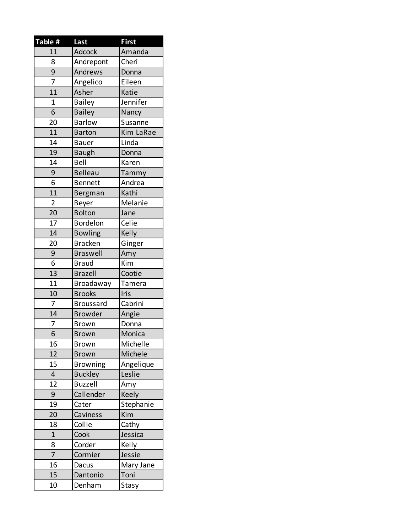| Table #                 | Last             | <b>First</b> |
|-------------------------|------------------|--------------|
| 11                      | Adcock           | Amanda       |
| 8                       | Andrepont        | Cheri        |
| 9                       | Andrews          | Donna        |
| 7                       | Angelico         | Eileen       |
| 11                      | Asher            | Katie        |
| $\mathbf 1$             | <b>Bailey</b>    | Jennifer     |
| $\overline{6}$          | Bailey           | Nancy        |
| 20                      | <b>Barlow</b>    | Susanne      |
| 11                      | <b>Barton</b>    | Kim LaRae    |
| 14                      | <b>Bauer</b>     | Linda        |
| 19                      | <b>Baugh</b>     | Donna        |
| 14                      | Bell             | Karen        |
| 9                       | <b>Belleau</b>   | Tammy        |
| 6                       | <b>Bennett</b>   | Andrea       |
| 11                      | Bergman          | Kathi        |
| $\overline{2}$          | Beyer            | Melanie      |
| 20                      | <b>Bolton</b>    | Jane         |
| 17                      | Bordelon         | Celie        |
| 14                      | <b>Bowling</b>   | Kelly        |
| 20                      | <b>Bracken</b>   | Ginger       |
| 9                       | <b>Braswell</b>  | Amy          |
| 6                       | <b>Braud</b>     | Kim          |
| 13                      | <b>Brazell</b>   | Cootie       |
| 11                      | Broadaway        | Tamera       |
| 10                      | <b>Brooks</b>    | Iris         |
| 7                       | <b>Broussard</b> | Cabrini      |
| 14                      | <b>Browder</b>   | Angie        |
| 7                       | <b>Brown</b>     | Donna        |
| $\overline{6}$          | <b>Brown</b>     | Monica       |
| 16                      | <b>Brown</b>     | Michelle     |
| 12                      | <b>Brown</b>     | Michele      |
| 15                      | <b>Browning</b>  | Angelique    |
| $\overline{\mathbf{4}}$ | <b>Buckley</b>   | Leslie       |
| 12                      | <b>Buzzell</b>   | Amy          |
| 9                       | Callender        | Keely        |
| 19                      | Cater            | Stephanie    |
| 20                      | Caviness         | Kim          |
| 18                      | Collie           | Cathy        |
| $\mathbf{1}$            | Cook             | Jessica      |
| 8                       | Corder           | Kelly        |
| 7                       | Cormier          | Jessie       |
| 16                      | Dacus            | Mary Jane    |
| 15                      | Dantonio         | Toni         |
| 10                      | Denham           | Stasy        |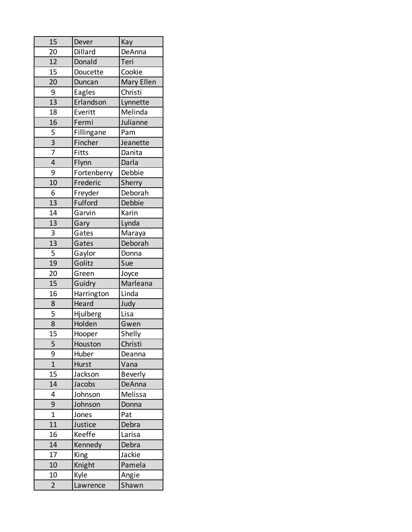| 15             | Dever       | Kay            |
|----------------|-------------|----------------|
| 20             | Dillard     | DeAnna         |
| 12             | Donald      | Teri           |
| 15             | Doucette    | Cookie         |
| 20             | Duncan      | Mary Ellen     |
| 9              | Eagles      | Christi        |
| 13             | Erlandson   | Lynnette       |
| 18             | Everitt     | Melinda        |
| 16             | Fermi       | Julianne       |
|                | Fillingane  | Pam            |
| $\frac{5}{3}$  | Fincher     | Jeanette       |
| $\overline{7}$ | Fitts       | Danita         |
| $\overline{4}$ | Flynn       | Darla          |
| 9              | Fortenberry | Debbie         |
| 10             | Frederic    | Sherry         |
| 6              | Freyder     | Deborah        |
| 13             | Fulford     | Debbie         |
| 14             | Garvin      | Karin          |
| 13             | Gary        | Lynda          |
| 3              | Gates       | Maraya         |
| 13             | Gates       | Deborah        |
| 5              | Gaylor      | Donna          |
| 19             | Golitz      | Sue            |
| 20             | Green       | Joyce          |
| 15             | Guidry      | Marleana       |
| 16             | Harrington  | Linda          |
| 8              | Heard       | Judy           |
| 5              | Hjulberg    | Lisa           |
| $\overline{8}$ | Holden      | Gwen           |
| 15             | Hooper      | Shelly         |
| 5              | Houston     | Christi        |
| 9              | Huber       | Deanna         |
| $\overline{1}$ | Hurst       | Vana           |
| 15             | Jackson     | <b>Beverly</b> |
| 14             | Jacobs      | DeAnna         |
| 4              | Johnson     | Melissa        |
| 9              | Johnson     | Donna          |
| $\overline{1}$ | Jones       | Pat            |
| 11             | Justice     | Debra          |
| 16             | Keeffe      | Larisa         |
| 14             | Kennedy     | Debra          |
| 17             | King        | Jackie         |
| 10             | Knight      | Pamela         |
| 10             | Kyle        | Angie          |
| $\overline{2}$ | Lawrence    | Shawn          |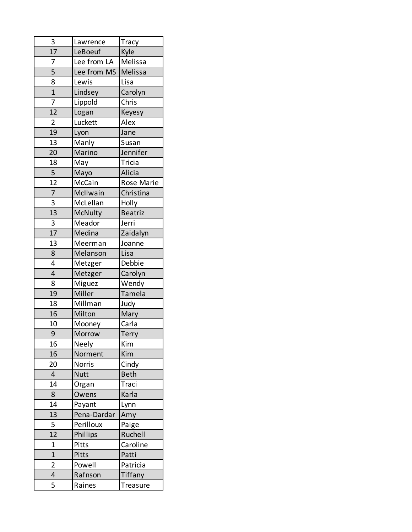| 3               | Lawrence      | <b>Tracy</b>   |
|-----------------|---------------|----------------|
| $\overline{17}$ | LeBoeuf       | Kyle           |
| 7               | Lee from LA   | Melissa        |
| $\overline{5}$  | Lee from MS   | Melissa        |
| 8               | Lewis         | Lisa           |
| $\overline{1}$  | Lindsey       | Carolyn        |
| $\overline{7}$  | Lippold       | Chris          |
| $\overline{12}$ | Logan         | Keyesy         |
| $\overline{2}$  | Luckett       | Alex           |
| 19              | Lyon          | Jane           |
| 13              | Manly         | Susan          |
| 20              | Marino        | Jennifer       |
| 18              | May           | Tricia         |
| 5               | Mayo          | Alicia         |
| 12              | McCain        | Rose Marie     |
| $\overline{7}$  | McIlwain      | Christina      |
| 3               | McLellan      | Holly          |
| 13              | McNulty       | <b>Beatriz</b> |
| 3               | Meador        | Jerri          |
| $\overline{17}$ | Medina        | Zaidalyn       |
| 13              | Meerman       | Joanne         |
| 8               | Melanson      | Lisa           |
| 4               | Metzger       | Debbie         |
| $\overline{4}$  | Metzger       | Carolyn        |
| 8               | Miguez        | Wendy          |
| 19              | Miller        | Tamela         |
| 18              | Millman       | Judy           |
| 16              | Milton        | Mary           |
| 10              | Mooney        | Carla          |
| 9               | Morrow        | Terry          |
| 16              | Neely         | Kim            |
| 16              | Norment       | Kim            |
| 20              | <b>Norris</b> | Cindy          |
| $\overline{4}$  | <b>Nutt</b>   | <b>Beth</b>    |
| 14              | Organ         | Traci          |
| 8               | Owens         | Karla          |
| 14              | Payant        | Lynn           |
| 13              | Pena-Dardar   | Amy            |
| 5               | Perilloux     | Paige          |
| 12              | Phillips      | Ruchell        |
| 1               | Pitts         | Caroline       |
| $\overline{1}$  | Pitts         | Patti          |
| 2               | Powell        | Patricia       |
| 4               | Rafnson       | Tiffany        |
| 5               | Raines        | Treasure       |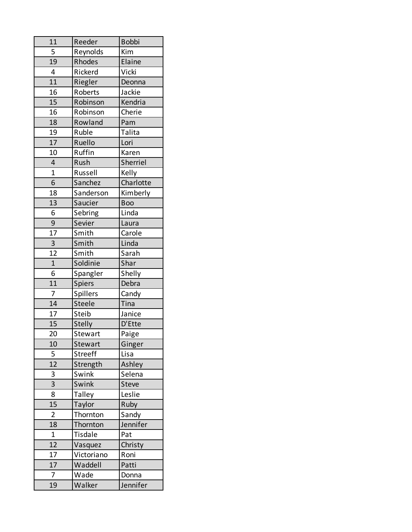| 11              | Reeder         | <b>Bobbi</b> |
|-----------------|----------------|--------------|
| 5               | Reynolds       | Kim          |
| 19              | Rhodes         | Elaine       |
| 4               | Rickerd        | Vicki        |
| 11              | Riegler        | Deonna       |
| 16              | Roberts        | Jackie       |
| 15              | Robinson       | Kendria      |
| 16              | Robinson       | Cherie       |
| 18              | Rowland        | Pam          |
| 19              | Ruble          | Talita       |
| 17              | Ruello         | Lori         |
| 10              | Ruffin         | Karen        |
| 4               | Rush           | Sherriel     |
| $\overline{1}$  | Russell        | Kelly        |
| 6               | Sanchez        | Charlotte    |
| 18              | Sanderson      | Kimberly     |
| 13              | Saucier        | <b>Boo</b>   |
| 6               | Sebring        | Linda        |
| 9               | Sevier         | Laura        |
| 17              | Smith          | Carole       |
| 3               | Smith          | Linda        |
| $\overline{12}$ | Smith          | Sarah        |
| $\overline{1}$  | Soldinie       | Shar         |
| 6               | Spangler       | Shelly       |
| 11              | Spiers         | Debra        |
| $\overline{7}$  | Spillers       | Candy        |
| 14              | Steele         | Tina         |
| 17              | Steib          | Janice       |
| 15              | <b>Stelly</b>  | D'Ette       |
| 20              | Stewart        | Paige        |
| 10              | Stewart        | Ginger       |
| 5               | <b>Streeff</b> | Lisa         |
| 12              | Strength       | Ashley       |
| 3               | Swink          | Selena       |
| 3               | Swink          | <b>Steve</b> |
| 8               | <b>Talley</b>  | Leslie       |
| 15              | Taylor         | Ruby         |
| $\overline{2}$  | Thornton       | Sandy        |
| 18              | Thornton       | Jennifer     |
| $\mathbf{1}$    | Tisdale        | Pat          |
| 12              | Vasquez        | Christy      |
| 17              | Victoriano     | Roni         |
| 17              | Waddell        | Patti        |
| $\overline{7}$  | Wade           | Donna        |
| 19              | Walker         | Jennifer     |